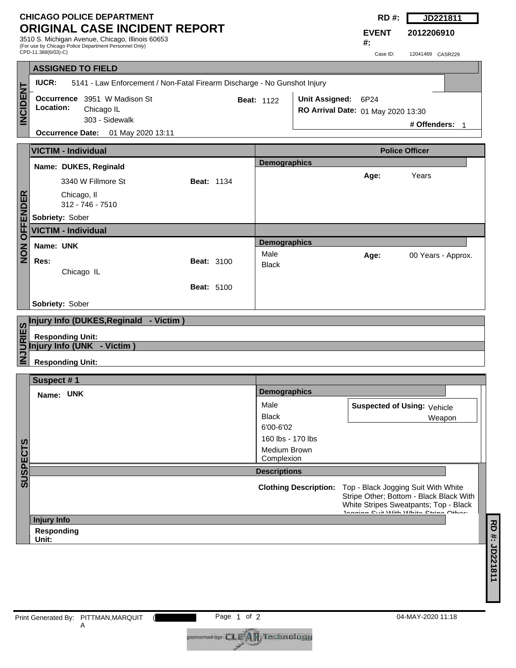## **CHICAGO POLICE DEPARTMENT ORIGINAL CASE INCIDENT REPORT**

3510 S. Michigan Avenue, Chicago, Illinois 60653 (For use by Chicago Police Department Personnel Only)

|  | RD | <b>JD221811</b> |
|--|----|-----------------|
|--|----|-----------------|

**2012206910**

**EVENT #:**

|                 | $\mu$ or asc by Omoago r once Beparament r croomer Om<br>CPD-11.388(6/03)-C)             |                   |                       |                             |                              | Case ID:                           | 12041469 CASR229                                                                                                                                                |  |
|-----------------|------------------------------------------------------------------------------------------|-------------------|-----------------------|-----------------------------|------------------------------|------------------------------------|-----------------------------------------------------------------------------------------------------------------------------------------------------------------|--|
|                 | <b>ASSIGNED TO FIELD</b>                                                                 |                   |                       |                             |                              |                                    |                                                                                                                                                                 |  |
|                 | <b>IUCR:</b><br>5141 - Law Enforcement / Non-Fatal Firearm Discharge - No Gunshot Injury |                   |                       |                             |                              |                                    |                                                                                                                                                                 |  |
| <b>INCIDENT</b> | Occurrence 3951 W Madison St<br>Location:<br>Chicago IL<br>303 - Sidewalk                |                   |                       | <b>Beat: 1122</b>           | Unit Assigned: 6P24          | RO Arrival Date: 01 May 2020 13:30 | # Offenders: 1                                                                                                                                                  |  |
|                 | <b>Occurrence Date:</b> 01 May 2020 13:11                                                |                   |                       |                             |                              |                                    |                                                                                                                                                                 |  |
|                 | <b>VICTIM - Individual</b>                                                               |                   | <b>Police Officer</b> |                             |                              |                                    |                                                                                                                                                                 |  |
|                 | Name: DUKES, Reginald                                                                    |                   |                       | <b>Demographics</b>         |                              |                                    |                                                                                                                                                                 |  |
|                 | 3340 W Fillmore St                                                                       | <b>Beat: 1134</b> |                       |                             |                              | Age:                               | Years                                                                                                                                                           |  |
| <b>OFFENDER</b> | Chicago, II<br>312 - 746 - 7510                                                          |                   |                       |                             |                              |                                    |                                                                                                                                                                 |  |
|                 | Sobriety: Sober                                                                          |                   |                       |                             |                              |                                    |                                                                                                                                                                 |  |
|                 | <b>VICTIM - Individual</b>                                                               |                   |                       |                             |                              |                                    |                                                                                                                                                                 |  |
| ZO<br>NO        | Name: UNK                                                                                |                   |                       | <b>Demographics</b><br>Male |                              | Age:                               | 00 Years - Approx.                                                                                                                                              |  |
|                 | Res:<br>Chicago IL                                                                       | <b>Beat: 3100</b> |                       | <b>Black</b>                |                              |                                    |                                                                                                                                                                 |  |
|                 |                                                                                          | <b>Beat: 5100</b> |                       |                             |                              |                                    |                                                                                                                                                                 |  |
|                 | Sobriety: Sober                                                                          |                   |                       |                             |                              |                                    |                                                                                                                                                                 |  |
|                 |                                                                                          |                   |                       |                             |                              |                                    |                                                                                                                                                                 |  |
|                 | Injury Info (DUKES, Reginald - Victim)                                                   |                   |                       |                             |                              |                                    |                                                                                                                                                                 |  |
| <b>INJURIES</b> | <b>Responding Unit:</b><br>Injury Info (UNK - Victim)                                    |                   |                       |                             |                              |                                    |                                                                                                                                                                 |  |
|                 | <b>Responding Unit:</b>                                                                  |                   |                       |                             |                              |                                    |                                                                                                                                                                 |  |
|                 | Suspect #1                                                                               |                   |                       |                             |                              |                                    |                                                                                                                                                                 |  |
|                 | Name: UNK                                                                                |                   |                       | <b>Demographics</b>         |                              |                                    |                                                                                                                                                                 |  |
|                 |                                                                                          |                   |                       | Male                        |                              | Suspected of Using: Vehicle        |                                                                                                                                                                 |  |
|                 |                                                                                          |                   |                       | Black<br>6'00-6'02          |                              |                                    | Weapon                                                                                                                                                          |  |
|                 |                                                                                          |                   |                       | 160 lbs - 170 lbs           |                              |                                    |                                                                                                                                                                 |  |
| <b>SUSPECTS</b> |                                                                                          |                   |                       | Medium Brown<br>Complexion  |                              |                                    |                                                                                                                                                                 |  |
|                 |                                                                                          |                   |                       | <b>Descriptions</b>         |                              |                                    |                                                                                                                                                                 |  |
|                 |                                                                                          |                   |                       |                             | <b>Clothing Description:</b> |                                    | Top - Black Jogging Suit With White<br>Stripe Other; Bottom - Black Black With<br>White Stripes Sweatpants; Top - Black<br>Innaina Cuit With White Ctring Other |  |
|                 | <b>Injury Info</b>                                                                       |                   |                       |                             |                              |                                    |                                                                                                                                                                 |  |
|                 | Responding<br>Unit:                                                                      |                   |                       |                             |                              |                                    |                                                                                                                                                                 |  |
|                 |                                                                                          |                   |                       |                             |                              |                                    |                                                                                                                                                                 |  |
|                 |                                                                                          |                   |                       |                             |                              |                                    |                                                                                                                                                                 |  |
|                 |                                                                                          |                   |                       |                             |                              |                                    |                                                                                                                                                                 |  |

coveradby CLE<sup>4</sup>AR Technology

**RD #: JD221811**

RD#: JD221811